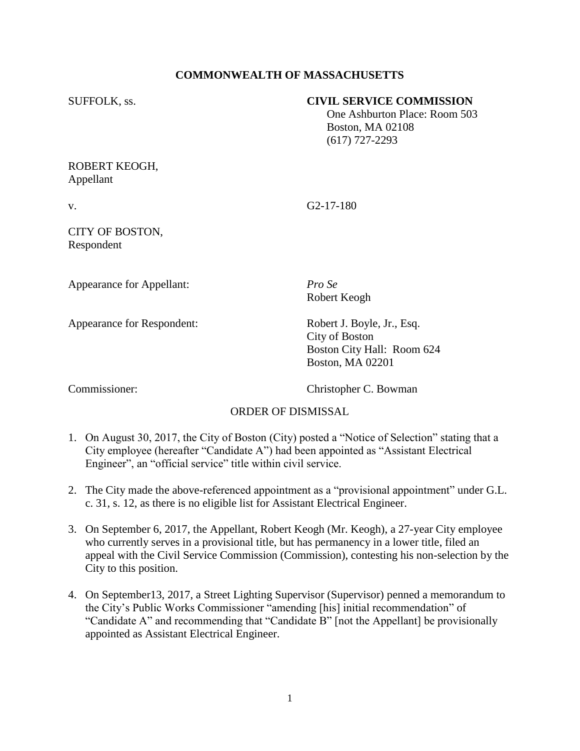# **COMMONWEALTH OF MASSACHUSETTS**

### SUFFOLK, ss. **CIVIL SERVICE COMMISSION**

 One Ashburton Place: Room 503 Boston, MA 02108 (617) 727-2293

### ROBERT KEOGH, Appellant

v. G2-17-180

## CITY OF BOSTON, Respondent

Appearance for Appellant: *Pro Se*

Appearance for Respondent: Robert J. Boyle, Jr., Esq.

Robert Keogh

City of Boston Boston City Hall: Room 624 Boston, MA 02201

Commissioner: Christopher C. Bowman

# ORDER OF DISMISSAL

- 1. On August 30, 2017, the City of Boston (City) posted a "Notice of Selection" stating that a City employee (hereafter "Candidate A") had been appointed as "Assistant Electrical Engineer", an "official service" title within civil service.
- 2. The City made the above-referenced appointment as a "provisional appointment" under G.L. c. 31, s. 12, as there is no eligible list for Assistant Electrical Engineer.
- 3. On September 6, 2017, the Appellant, Robert Keogh (Mr. Keogh), a 27-year City employee who currently serves in a provisional title, but has permanency in a lower title, filed an appeal with the Civil Service Commission (Commission), contesting his non-selection by the City to this position.
- 4. On September13, 2017, a Street Lighting Supervisor (Supervisor) penned a memorandum to the City's Public Works Commissioner "amending [his] initial recommendation" of "Candidate A" and recommending that "Candidate B" [not the Appellant] be provisionally appointed as Assistant Electrical Engineer.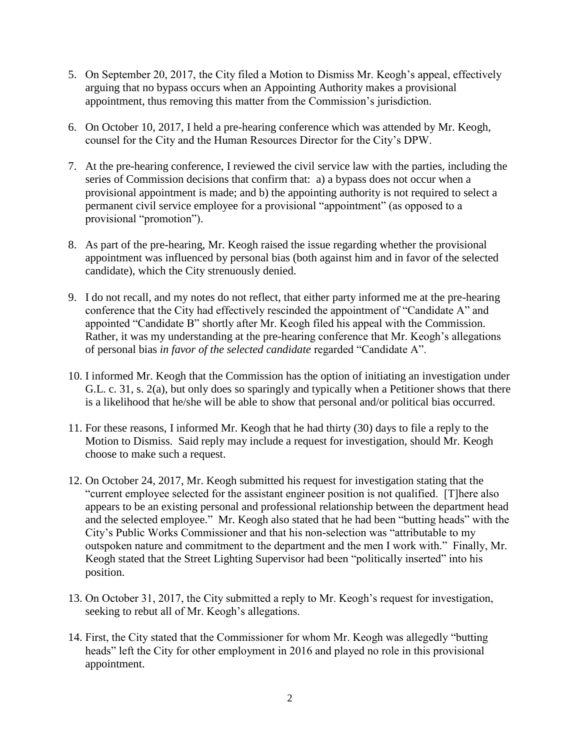- 5. On September 20, 2017, the City filed a Motion to Dismiss Mr. Keogh's appeal, effectively arguing that no bypass occurs when an Appointing Authority makes a provisional appointment, thus removing this matter from the Commission's jurisdiction.
- 6. On October 10, 2017, I held a pre-hearing conference which was attended by Mr. Keogh, counsel for the City and the Human Resources Director for the City's DPW.
- 7. At the pre-hearing conference, I reviewed the civil service law with the parties, including the series of Commission decisions that confirm that: a) a bypass does not occur when a provisional appointment is made; and b) the appointing authority is not required to select a permanent civil service employee for a provisional "appointment" (as opposed to a provisional "promotion").
- 8. As part of the pre-hearing, Mr. Keogh raised the issue regarding whether the provisional appointment was influenced by personal bias (both against him and in favor of the selected candidate), which the City strenuously denied.
- 9. I do not recall, and my notes do not reflect, that either party informed me at the pre-hearing conference that the City had effectively rescinded the appointment of "Candidate A" and appointed "Candidate B" shortly after Mr. Keogh filed his appeal with the Commission. Rather, it was my understanding at the pre-hearing conference that Mr. Keogh's allegations of personal bias *in favor of the selected candidate* regarded "Candidate A".
- 10. I informed Mr. Keogh that the Commission has the option of initiating an investigation under G.L. c. 31, s. 2(a), but only does so sparingly and typically when a Petitioner shows that there is a likelihood that he/she will be able to show that personal and/or political bias occurred.
- 11. For these reasons, I informed Mr. Keogh that he had thirty (30) days to file a reply to the Motion to Dismiss. Said reply may include a request for investigation, should Mr. Keogh choose to make such a request.
- 12. On October 24, 2017, Mr. Keogh submitted his request for investigation stating that the "current employee selected for the assistant engineer position is not qualified. [T]here also appears to be an existing personal and professional relationship between the department head and the selected employee." Mr. Keogh also stated that he had been "butting heads" with the City's Public Works Commissioner and that his non-selection was "attributable to my outspoken nature and commitment to the department and the men I work with." Finally, Mr. Keogh stated that the Street Lighting Supervisor had been "politically inserted" into his position.
- 13. On October 31, 2017, the City submitted a reply to Mr. Keogh's request for investigation, seeking to rebut all of Mr. Keogh's allegations.
- 14. First, the City stated that the Commissioner for whom Mr. Keogh was allegedly "butting heads" left the City for other employment in 2016 and played no role in this provisional appointment.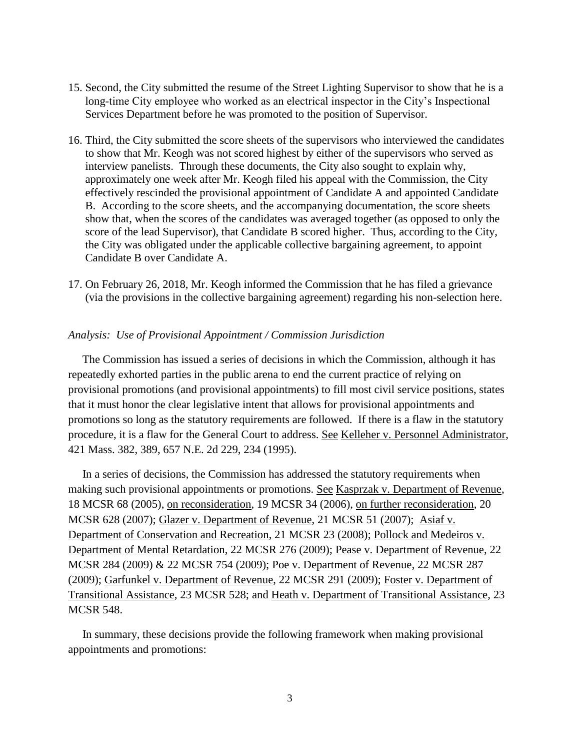- 15. Second, the City submitted the resume of the Street Lighting Supervisor to show that he is a long-time City employee who worked as an electrical inspector in the City's Inspectional Services Department before he was promoted to the position of Supervisor.
- 16. Third, the City submitted the score sheets of the supervisors who interviewed the candidates to show that Mr. Keogh was not scored highest by either of the supervisors who served as interview panelists. Through these documents, the City also sought to explain why, approximately one week after Mr. Keogh filed his appeal with the Commission, the City effectively rescinded the provisional appointment of Candidate A and appointed Candidate B. According to the score sheets, and the accompanying documentation, the score sheets show that, when the scores of the candidates was averaged together (as opposed to only the score of the lead Supervisor), that Candidate B scored higher. Thus, according to the City, the City was obligated under the applicable collective bargaining agreement, to appoint Candidate B over Candidate A.
- 17. On February 26, 2018, Mr. Keogh informed the Commission that he has filed a grievance (via the provisions in the collective bargaining agreement) regarding his non-selection here.

#### *Analysis: Use of Provisional Appointment / Commission Jurisdiction*

 The Commission has issued a series of decisions in which the Commission, although it has repeatedly exhorted parties in the public arena to end the current practice of relying on provisional promotions (and provisional appointments) to fill most civil service positions, states that it must honor the clear legislative intent that allows for provisional appointments and promotions so long as the statutory requirements are followed. If there is a flaw in the statutory procedure, it is a flaw for the General Court to address. See Kelleher v. Personnel Administrator, 421 Mass. 382, 389, 657 N.E. 2d 229, 234 (1995).

 In a series of decisions, the Commission has addressed the statutory requirements when making such provisional appointments or promotions. See Kasprzak v. Department of Revenue, 18 MCSR 68 (2005), on reconsideration, 19 MCSR 34 (2006), on further reconsideration, 20 MCSR 628 (2007); Glazer v. Department of Revenue, 21 MCSR 51 (2007); Asiaf v. Department of Conservation and Recreation, 21 MCSR 23 (2008); Pollock and Medeiros v. Department of Mental Retardation, 22 MCSR 276 (2009); Pease v. Department of Revenue, 22 MCSR 284 (2009) & 22 MCSR 754 (2009); Poe v. Department of Revenue, 22 MCSR 287 (2009); Garfunkel v. Department of Revenue, 22 MCSR 291 (2009); Foster v. Department of Transitional Assistance, 23 MCSR 528; and Heath v. Department of Transitional Assistance, 23 MCSR 548.

 In summary, these decisions provide the following framework when making provisional appointments and promotions: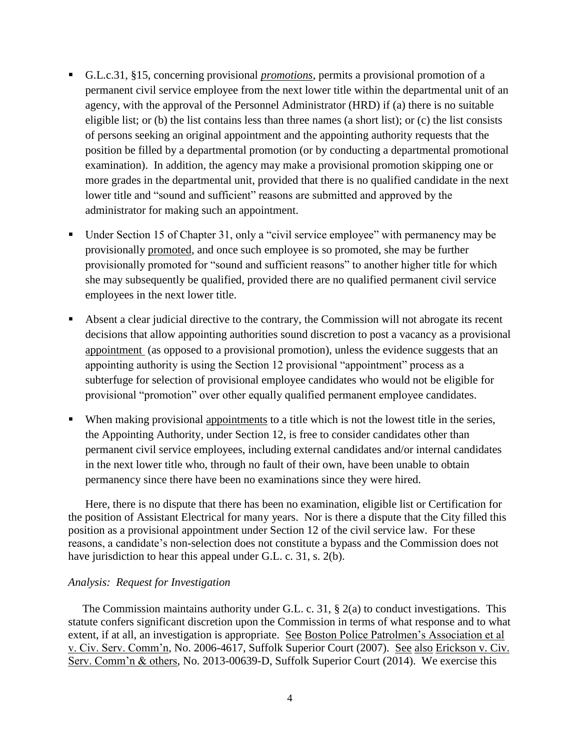- G.L.c.31, §15, concerning provisional *promotions*, permits a provisional promotion of a permanent civil service employee from the next lower title within the departmental unit of an agency, with the approval of the Personnel Administrator (HRD) if (a) there is no suitable eligible list; or (b) the list contains less than three names (a short list); or (c) the list consists of persons seeking an original appointment and the appointing authority requests that the position be filled by a departmental promotion (or by conducting a departmental promotional examination). In addition, the agency may make a provisional promotion skipping one or more grades in the departmental unit, provided that there is no qualified candidate in the next lower title and "sound and sufficient" reasons are submitted and approved by the administrator for making such an appointment.
- Under Section 15 of Chapter 31, only a "civil service employee" with permanency may be provisionally promoted, and once such employee is so promoted, she may be further provisionally promoted for "sound and sufficient reasons" to another higher title for which she may subsequently be qualified, provided there are no qualified permanent civil service employees in the next lower title.
- Absent a clear judicial directive to the contrary, the Commission will not abrogate its recent decisions that allow appointing authorities sound discretion to post a vacancy as a provisional appointment (as opposed to a provisional promotion), unless the evidence suggests that an appointing authority is using the Section 12 provisional "appointment" process as a subterfuge for selection of provisional employee candidates who would not be eligible for provisional "promotion" over other equally qualified permanent employee candidates.
- When making provisional appointments to a title which is not the lowest title in the series, the Appointing Authority, under Section 12, is free to consider candidates other than permanent civil service employees, including external candidates and/or internal candidates in the next lower title who, through no fault of their own, have been unable to obtain permanency since there have been no examinations since they were hired.

Here, there is no dispute that there has been no examination, eligible list or Certification for the position of Assistant Electrical for many years. Nor is there a dispute that the City filled this position as a provisional appointment under Section 12 of the civil service law. For these reasons, a candidate's non-selection does not constitute a bypass and the Commission does not have jurisdiction to hear this appeal under G.L. c. 31, s. 2(b).

#### *Analysis: Request for Investigation*

 The Commission maintains authority under G.L. c. 31, § 2(a) to conduct investigations. This statute confers significant discretion upon the Commission in terms of what response and to what extent, if at all, an investigation is appropriate. See Boston Police Patrolmen's Association et al v. Civ. Serv. Comm'n, No. 2006-4617, Suffolk Superior Court (2007). See also Erickson v. Civ. Serv. Comm'n & others, No. 2013-00639-D, Suffolk Superior Court (2014). We exercise this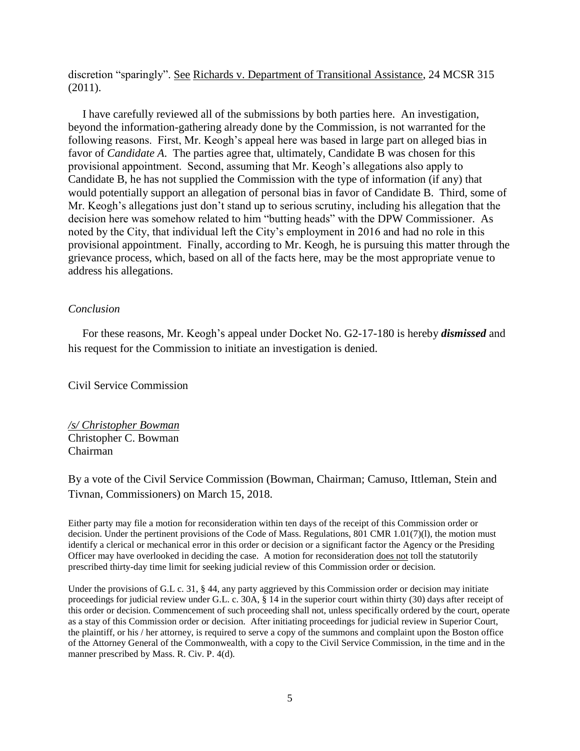discretion "sparingly". See Richards v. Department of Transitional Assistance, 24 MCSR 315 (2011).

 I have carefully reviewed all of the submissions by both parties here. An investigation, beyond the information-gathering already done by the Commission, is not warranted for the following reasons. First, Mr. Keogh's appeal here was based in large part on alleged bias in favor of *Candidate A*. The parties agree that, ultimately, Candidate B was chosen for this provisional appointment. Second, assuming that Mr. Keogh's allegations also apply to Candidate B, he has not supplied the Commission with the type of information (if any) that would potentially support an allegation of personal bias in favor of Candidate B. Third, some of Mr. Keogh's allegations just don't stand up to serious scrutiny, including his allegation that the decision here was somehow related to him "butting heads" with the DPW Commissioner. As noted by the City, that individual left the City's employment in 2016 and had no role in this provisional appointment. Finally, according to Mr. Keogh, he is pursuing this matter through the grievance process, which, based on all of the facts here, may be the most appropriate venue to address his allegations.

#### *Conclusion*

 For these reasons, Mr. Keogh's appeal under Docket No. G2-17-180 is hereby *dismissed* and his request for the Commission to initiate an investigation is denied.

Civil Service Commission

*/s/ Christopher Bowman* Christopher C. Bowman Chairman

By a vote of the Civil Service Commission (Bowman, Chairman; Camuso, Ittleman, Stein and Tivnan, Commissioners) on March 15, 2018.

Either party may file a motion for reconsideration within ten days of the receipt of this Commission order or decision. Under the pertinent provisions of the Code of Mass. Regulations, 801 CMR 1.01(7)(l), the motion must identify a clerical or mechanical error in this order or decision or a significant factor the Agency or the Presiding Officer may have overlooked in deciding the case. A motion for reconsideration does not toll the statutorily prescribed thirty-day time limit for seeking judicial review of this Commission order or decision.

Under the provisions of G.L c. 31, § 44, any party aggrieved by this Commission order or decision may initiate proceedings for judicial review under G.L. c. 30A, § 14 in the superior court within thirty (30) days after receipt of this order or decision. Commencement of such proceeding shall not, unless specifically ordered by the court, operate as a stay of this Commission order or decision. After initiating proceedings for judicial review in Superior Court, the plaintiff, or his / her attorney, is required to serve a copy of the summons and complaint upon the Boston office of the Attorney General of the Commonwealth, with a copy to the Civil Service Commission, in the time and in the manner prescribed by Mass. R. Civ. P. 4(d).